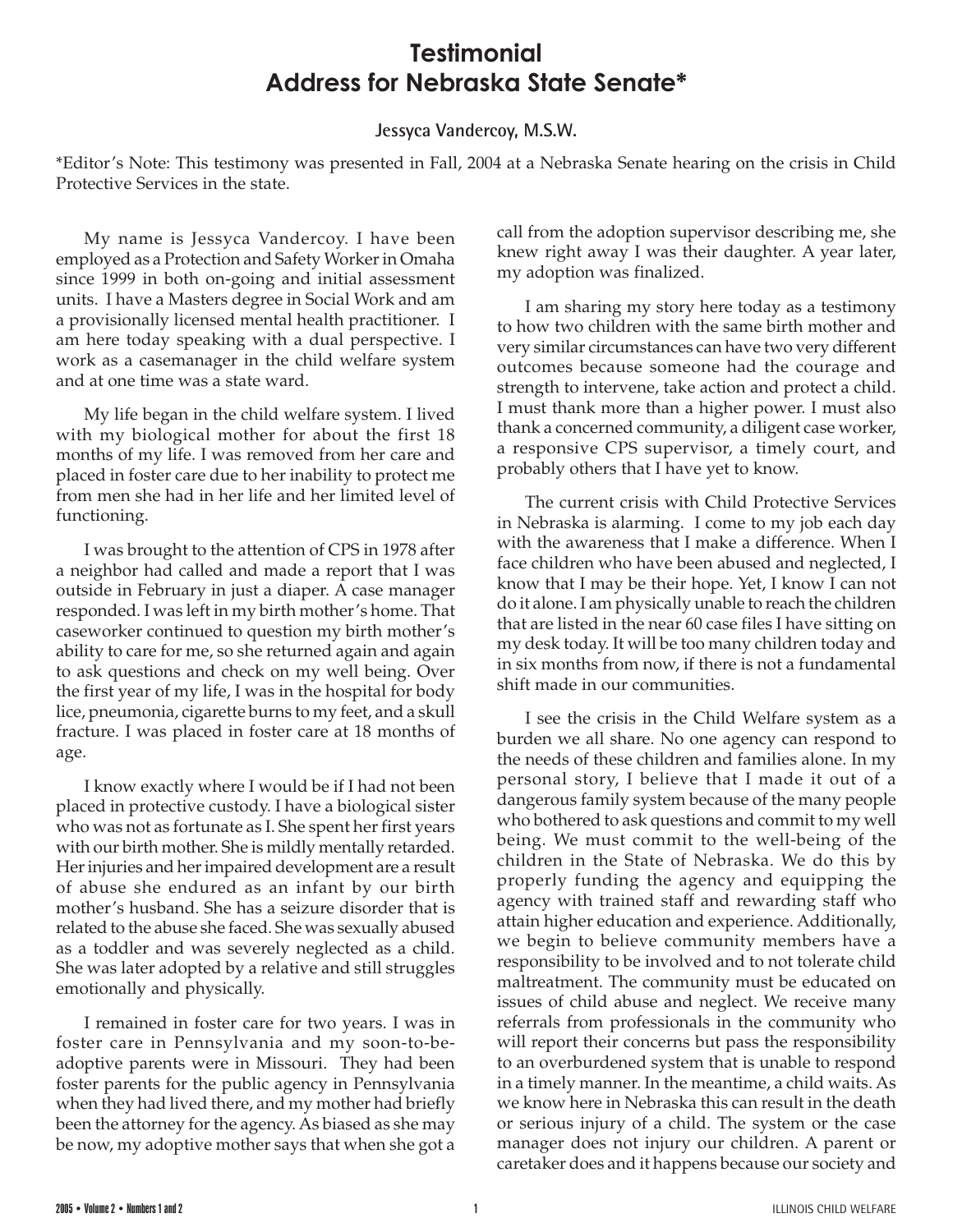## **Testimonial Address for Nebraska State Senate\***

## **Jessyca Vandercoy, M.S.W.**

\*Editor's Note: This testimony was presented in Fall, 2004 at a Nebraska Senate hearing on the crisis in Child Protective Services in the state.

My name is Jessyca Vandercoy. I have been employed as a Protection and Safety Worker in Omaha since 1999 in both on-going and initial assessment units. I have a Masters degree in Social Work and am a provisionally licensed mental health practitioner. I am here today speaking with a dual perspective. I work as a casemanager in the child welfare system and at one time was a state ward.

My life began in the child welfare system. I lived with my biological mother for about the first 18 months of my life. I was removed from her care and placed in foster care due to her inability to protect me from men she had in her life and her limited level of functioning.

I was brought to the attention of CPS in 1978 after a neighbor had called and made a report that I was outside in February in just a diaper. A case manager responded. I was left in my birth mother's home. That caseworker continued to question my birth mother's ability to care for me, so she returned again and again to ask questions and check on my well being. Over the first year of my life, I was in the hospital for body lice, pneumonia, cigarette burns to my feet, and a skull fracture. I was placed in foster care at 18 months of age.

I know exactly where I would be if I had not been placed in protective custody. I have a biological sister who was not as fortunate as I. She spent her first years with our birth mother. She is mildly mentally retarded. Her injuries and her impaired development are a result of abuse she endured as an infant by our birth mother's husband. She has a seizure disorder that is related to the abuse she faced. She was sexually abused as a toddler and was severely neglected as a child. She was later adopted by a relative and still struggles emotionally and physically.

I remained in foster care for two years. I was in foster care in Pennsylvania and my soon-to-beadoptive parents were in Missouri. They had been foster parents for the public agency in Pennsylvania when they had lived there, and my mother had briefly been the attorney for the agency. As biased as she may be now, my adoptive mother says that when she got a

call from the adoption supervisor describing me, she knew right away I was their daughter. A year later, my adoption was finalized.

I am sharing my story here today as a testimony to how two children with the same birth mother and very similar circumstances can have two very different outcomes because someone had the courage and strength to intervene, take action and protect a child. I must thank more than a higher power. I must also thank a concerned community, a diligent case worker, a responsive CPS supervisor, a timely court, and probably others that I have yet to know.

The current crisis with Child Protective Services in Nebraska is alarming. I come to my job each day with the awareness that I make a difference. When I face children who have been abused and neglected, I know that I may be their hope. Yet, I know I can not do it alone. I am physically unable to reach the children that are listed in the near 60 case files I have sitting on my desk today. It will be too many children today and in six months from now, if there is not a fundamental shift made in our communities.

I see the crisis in the Child Welfare system as a burden we all share. No one agency can respond to the needs of these children and families alone. In my personal story, I believe that I made it out of a dangerous family system because of the many people who bothered to ask questions and commit to my well being. We must commit to the well-being of the children in the State of Nebraska. We do this by properly funding the agency and equipping the agency with trained staff and rewarding staff who attain higher education and experience. Additionally, we begin to believe community members have a responsibility to be involved and to not tolerate child maltreatment. The community must be educated on issues of child abuse and neglect. We receive many referrals from professionals in the community who will report their concerns but pass the responsibility to an overburdened system that is unable to respond in a timely manner. In the meantime, a child waits. As we know here in Nebraska this can result in the death or serious injury of a child. The system or the case manager does not injury our children. A parent or caretaker does and it happens because our society and